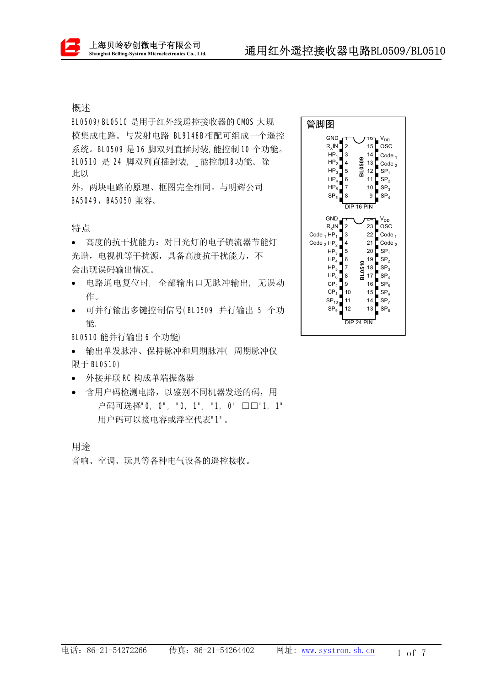## 概述

BL0509/BL0510 是用于红外线遥控接收器的 CMOS 大规 模集成电路。与发射电路 BL9148B相配可组成一个遥控 系统。BL0509 是 16 脚双列直插封装, 能控制 10 个功能。 BL0510 是 24 脚双列直插封装, \_能控制18功能。除 此以

外, 两块电路的原理、框图完全相同。与明辉公司 BA5049, BA5050 兼容。

特点

• 高度的抗干扰能力: 对日光灯的电子镇流器节能灯 光谱, 电视机等于扰源, 具备高度抗于扰能力, 不 会出现误码输出情况。

- 电路通电复位时, 全部输出口无脉冲输出, 无误动 作。
- 可并行输出多键控制信号(BL0509 并行输出 5 个功 能,

BL0510 能并行输出 6 个功能)

- 输出单发脉冲、保持脉冲和周期脉冲(周期脉冲仅 限于 BL0510)
- 外接并联 RC 构成单端振荡器
- 含用户码检测电路, 以鉴别不同机器发送的码, 用 户码可选择"0, 0", "0, 1", "1, 0" □□"1, 1" 用户码可以接电容或浮空代表"1"。

用途

音响、空调、玩具等各种电气设备的遥控接收。

| 管脚图                                                                                                                                                                                                                                                                                                                                                                                                                                                                                                                                                                                  |
|--------------------------------------------------------------------------------------------------------------------------------------------------------------------------------------------------------------------------------------------------------------------------------------------------------------------------------------------------------------------------------------------------------------------------------------------------------------------------------------------------------------------------------------------------------------------------------------|
| GND<br>V <sub>DD</sub><br>$R_X$ IN<br>15<br>osc<br>2<br>3<br>14<br>$HP_1$<br>Code <sub>1</sub><br>BL0509<br>HP <sub>2</sub><br>4<br>13<br>Code $_2$<br>$HP_3$<br>5<br>12<br>SP <sub>1</sub><br>6<br>11<br>$HP_4$<br>SP <sub>2</sub><br>$HP_5$<br>7<br>10<br>$SP_{3}$<br>$\text{SP}_5$<br>8<br>9<br>SP <sub>4</sub>                                                                                                                                                                                                                                                                   |
| DIP 16 PIN                                                                                                                                                                                                                                                                                                                                                                                                                                                                                                                                                                           |
| <b>GND</b><br>V <sub>DD</sub><br>$R_x$ IN<br>$\overline{\mathbf{c}}$<br>osc<br>23<br>3<br>22<br>Code $_1$ HP <sub>1</sub><br>Code <sub>1</sub><br>21<br>Code $_2$<br>Code $_2$ HP $_2$<br>4<br>20<br>SP <sub>1</sub><br>5<br>$HP_3$<br>$HP_4$<br>6<br>19<br>SP <sub>2</sub><br>BL0510<br>18<br>SP <sub>3</sub><br>$HP_5$<br>7<br>$HP_6$<br>SP <sub>4</sub><br>8<br>17<br>CP <sub>2</sub><br>9<br>16<br>SP <sub>5</sub><br>CP <sub>1</sub><br>SP <sub>6</sub><br>10<br>15<br>SP <sub>7</sub><br>$SP_{10}$<br>11<br>14<br>12<br>13<br>SP <sub>9</sub><br>SP <sub>8</sub><br>DIP 24 PIN |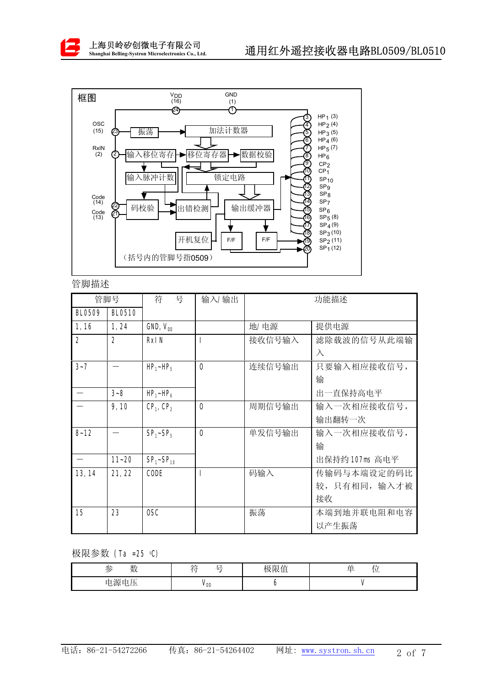



管脚描述

| 管脚号            |                | 符<br>号                            | 输入/输出          | 功能描述   |                |  |
|----------------|----------------|-----------------------------------|----------------|--------|----------------|--|
| BL0509         | <b>BL0510</b>  |                                   |                |        |                |  |
| 1,16           | 1, 24          | GND, V <sub>DD</sub>              |                | 地/电源   | 提供电源           |  |
| $\overline{2}$ | $\overline{2}$ | RxIN                              |                | 接收信号输入 | 滤除载波的信号从此端输    |  |
|                |                |                                   |                |        | $\lambda$      |  |
| $3 - 7$        |                | $HP_1$ ~HP <sub>5</sub>           | $\mathbf 0$    | 连续信号输出 | 只要输入相应接收信号,    |  |
|                |                |                                   |                |        | 输              |  |
|                | $3 - 8$        | $HP_1$ ~HP <sub>6</sub>           |                |        | 出一直保持高电平       |  |
|                | 9,10           | CP <sub>1</sub> , CP <sub>2</sub> | $\overline{0}$ | 周期信号输出 | 输入一次相应接收信号,    |  |
|                |                |                                   |                |        | 输出翻转一次         |  |
| $8 - 12$       |                | $SP1$ - $SP5$                     | $\mathbf 0$    | 单发信号输出 | 输入一次相应接收信号,    |  |
|                |                |                                   |                |        | 输              |  |
|                | $11 - 20$      | $SP_1 - SP_{10}$                  |                |        | 出保持约 107ms 高电平 |  |
| 13, 14         | 21, 22         | CODE                              |                | 码输入    | 传输码与本端设定的码比    |  |
|                |                |                                   |                |        | 较, 只有相同, 输入才被  |  |
|                |                |                                   |                |        | 接收             |  |
| 15             | 23             | OSC                               |                | 振荡     | 本端到地并联电阻和电容    |  |
|                |                |                                   |                |        | 以产生振荡          |  |

极限参数 (Ta =25 ℃)

| 数<br>参                                                                             | トケ<br>$\overline{\phantom{0}}$<br>$-$<br>4 Y<br>- | $\pm$<br><b>78</b><br>极 <br>`'"收"压 | $\sim$ $\sim$<br>œ<br><b>A</b><br>-<br>$-$ |
|------------------------------------------------------------------------------------|---------------------------------------------------|------------------------------------|--------------------------------------------|
| e源<br>$\overline{\phantom{a}}$<br>$\overline{\phantom{0}}$<br>由<br><b>ID</b><br>也少 | V <sub>DD</sub>                                   |                                    |                                            |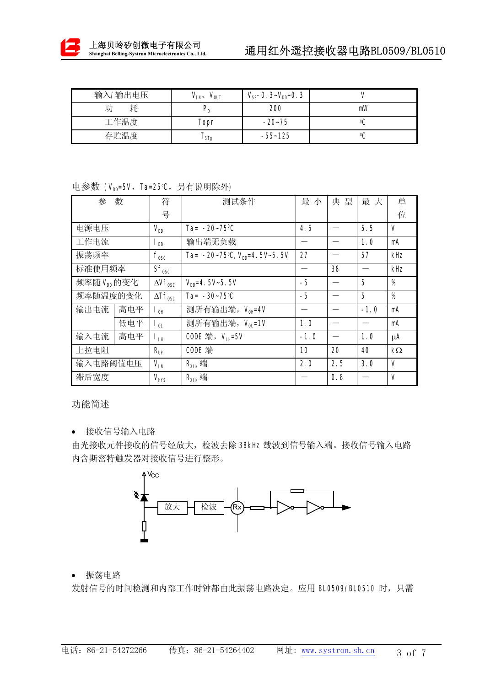

| 输入/输出电压 | $V_{1N}$<br>$V_{\text{OUT}}$ | $V_{SS}$ -0. 3~ $V_{DD}$ +0. 3 |    |
|---------|------------------------------|--------------------------------|----|
| 耗       |                              | 200                            | mW |
| 工作温度    | Topr                         | $-20-75$                       |    |
| 存贮温度    | l STg                        | $-55 - 125$                    | οſ |

## 电参数 (V<sub>DD</sub>=5V,Ta=25℃,另有说明除外)

| 参<br>数                      |     | 符                          | 测试条件                                        | 最 小    | 典<br>型 | 最大     | 单            |
|-----------------------------|-----|----------------------------|---------------------------------------------|--------|--------|--------|--------------|
|                             |     | 号                          |                                             |        |        |        | 位            |
| 电源电压                        |     | $V_{DD}$                   | Ta= $-20 - 75^{\circ}$ C                    | 4.5    |        | 5.5    | V            |
| 工作电流                        |     | $\mathsf{I}_{\mathsf{DD}}$ | 输出端无负载                                      |        |        | 1.0    | mA           |
| 振荡频率                        |     | $f_{\text{osc}}$           | Ta= $-20-75$ °C, V <sub>DD</sub> =4.5V~5.5V | 27     |        | 57     | kHz          |
| 标准使用频率                      |     | $Sf_{\text{osc}}$          |                                             |        | 38     |        | kHz          |
| 频率随 Voo 的变化                 |     | $\Delta Vf_{\text{osc}}$   | $V_{\text{nn}} = 4.5V - 5.5V$               | $-5$   |        | 5      | %            |
| 频率随温度的变化                    |     | $\Delta Tf_{\text{osc}}$   | Ta= $-30-75$ °C                             | $-5$   |        | 5      | %            |
| 输出电流                        | 高电平 | $\mathsf{I}_{\mathsf{OH}}$ | 测所有输出端, Vou=4V                              |        |        | $-1.0$ | mA           |
|                             | 低电平 | $\mathsf{I}_{0L}$          | 测所有输出端, V <sub>0I</sub> =1V                 | 1.0    |        |        | mA           |
| 高电平<br>输入电流<br>$L_{\rm BH}$ |     |                            | CODE 端, $V_{H}$ =5V                         | $-1.0$ |        | 1.0    | μA           |
| 上拉电阻                        |     | $R_{\text{UP}}$            | CODE 端                                      | 10     | 20     | 40     | $k\Omega$    |
| 输入电路阈值电压                    |     | $V_{IN}$                   | $R_{XIN}$ 端                                 | 2.0    | 2.5    | 3.0    | $\mathsf{V}$ |
| 滞后宽度                        |     | $V_{HYS}$                  | $R_{XIN}$ 端                                 |        | 0.8    |        | V            |

功能简述

• 接收信号输入电路

由光接收元件接收的信号经放大, 检波去除 38kHz 载波到信号输入端。接收信号输入电路 内含斯密特触发器对接收信号进行整形。



• 振荡电路

发射信号的时间检测和内部工作时钟都由此振荡电路决定。应用 BL0509/BL0510 时, 只需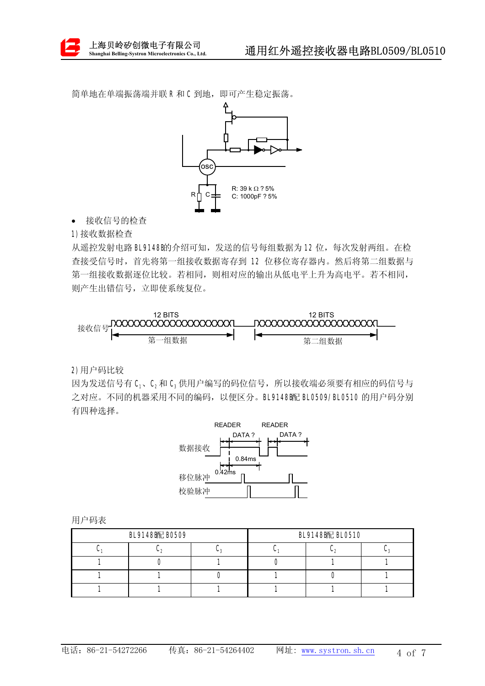简单地在单端振荡端并联R和C到地,即可产生稳定振荡。



• 接收信号的检查

1)接收数据检查

从遥控发射电路 BL9148B的介绍可知,发送的信号每组数据为12位,每次发射两组。在检 查接受信号时, 首先将第一组接收数据寄存到 12 位移位寄存器内。然后将第二组数据与 第一组接收数据逐位比较。若相同,则相对应的输出从低电平上升为高电平。若不相同, 则产生出错信号, 立即使系统复位。



2)用户码比较

因为发送信号有 C1、C2和 C3 供用户编写的码位信号, 所以接收端必须要有相应的码信号与 之对应。不同的机器采用不同的编码, 以便区分。BL9148B配 BL0509/BL0510 的用户码分别 有四种选择。



用户码表

| BL9148图记 B0509 | BL9148 距 BL0510 |  |                  |  |
|----------------|-----------------|--|------------------|--|
|                |                 |  | $\cdot$ . $\sim$ |  |
|                |                 |  |                  |  |
|                |                 |  |                  |  |
|                |                 |  |                  |  |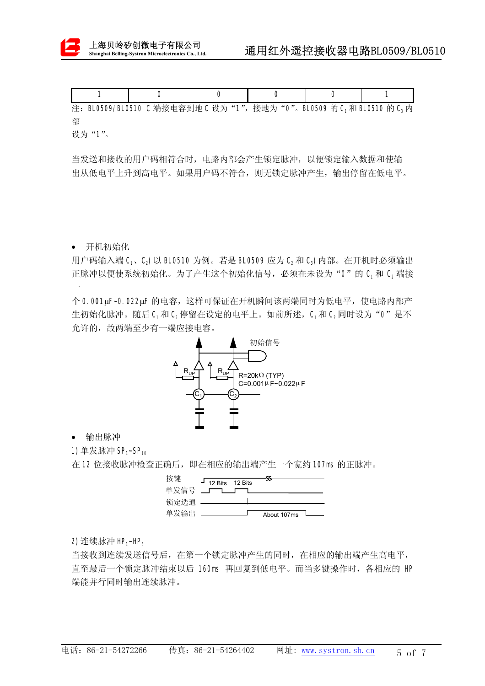

|  | 注: BL0509/BL0510 C 端接电容到地 C 设为 "1", 接地为 "0"。BL0509 的 C, 和 BL0510 的 C, 内 |  |  |
|--|-------------------------------------------------------------------------|--|--|

部

设为"1"。

当发送和接收的用户码相符合时, 电路内部会产生锁定脉冲, 以便锁定输入数据和使输 出从低电平上升到高电平。如果用户码不符合, 则无锁定脉冲产生, 输出停留在低电平。

• 开机初始化

 $\overline{\phantom{0}}$ 

用户码输入端 C1、C2(以 BL0510 为例。若是 BL0509 应为 C2和 C3)内部。在开机时必须输出 正脉冲以便使系统初始化。为了产生这个初始化信号,必须在未设为"0"的 C<sub>1</sub>和 C<sub>2</sub> 端接

个 0.001μF~0.022μF 的电容,这样可保证在开机瞬间该两端同时为低电平,使电路内部产 生初始化脉冲。随后 C<sub>1</sub>和 C<sub>2</sub>停留在设定的电平上。如前所述, C<sub>1</sub>和 C<sub>2</sub>同时设为"0"是不 允许的,故两端至少有一端应接电容。



• 输出脉冲

1) 单发脉冲 SP1~SP10

在 12 位接收脉冲检查正确后, 即在相应的输出端产生一个宽约 107ms 的正脉冲。



2) 连续脉冲 HP<sub>1</sub>~HP<sub>6</sub>

当接收到连续发送信号后, 在第一个锁定脉冲产生的同时, 在相应的输出端产生高电平, 直至最后一个锁定脉冲结束以后 160ms 再回复到低电平。而当多键操作时, 各相应的 HP 端能并行同时输出连续脉冲。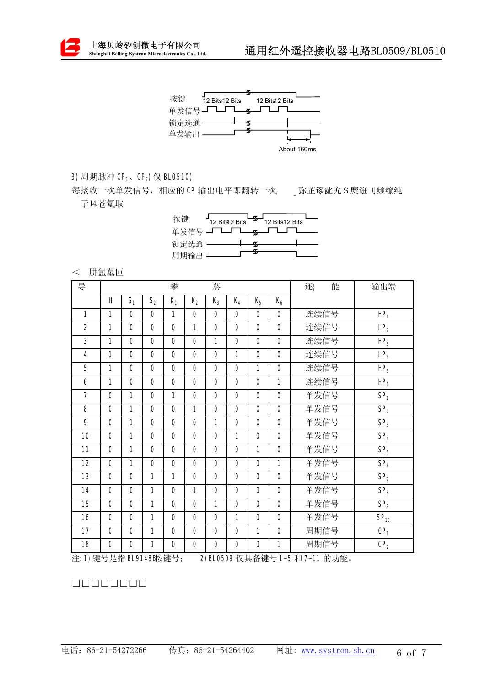



## 3) 周期脉冲 CP<sub>1</sub>、CP<sub>2</sub>(仅 BL0510)

每接收一次单发信号, 相应的 CP 输出电平即翻转一次, \_\_弥芷诼龀宄S 糜诳刂频缭纯 亍14.苍氲取

| 按键      | اسك <del>ك</del> ا<br>12 Bits12 Bits - 12 Bits12 Bits |  |  |
|---------|-------------------------------------------------------|--|--|
|         | 単发信号 <b>」 ̄_ ̄__<sub>\$</sub>__ ̄_</b> ̄___           |  |  |
| 锁定选通 —— |                                                       |  |  |
| 周期输出    |                                                       |  |  |

## < 肼氲墓叵

| 导              |                |                |                | 攀              |                | 菸              |                |                |                | 能<br>还 | 输出端              |
|----------------|----------------|----------------|----------------|----------------|----------------|----------------|----------------|----------------|----------------|--------|------------------|
|                | H              | S <sub>1</sub> | S <sub>2</sub> | $K_1$          | $K_{2}$        | $K_3$          | $K_4$          | $K_{5}$        | $K_6$          |        |                  |
| $\mathbf{1}$   | 1              | $\Omega$       | $\Omega$       | $\mathbf{1}$   | $\Omega$       | $\mathbf{0}$   | $\Omega$       | $\Omega$       | $\Omega$       | 连续信号   | $HP_1$           |
| $\overline{2}$ | 1              | $\Omega$       | 0              | $\overline{0}$ | 1              | $\mathbf{0}$   | $\overline{0}$ | $\overline{0}$ | $\mathbf{0}$   | 连续信号   | HP <sub>2</sub>  |
| 3              | 1              | $\Omega$       | $\Omega$       | $\Omega$       | $\Omega$       | $\mathbf{1}$   | $\Omega$       | $\Omega$       | $\Omega$       | 连续信号   | $HP_3$           |
| 4              | 1              | $\Omega$       | $\Omega$       | $\Omega$       | $\Omega$       | $\Omega$       | 1              | $\Omega$       | $\Omega$       | 连续信号   | HP <sub>4</sub>  |
| 5              | 1              | $\mathbf{0}$   | $\overline{0}$ | $\overline{0}$ | $\mathbf{0}$   | $\mathbf{0}$   | $\overline{0}$ | 1              | $\overline{0}$ | 连续信号   | $HP_5$           |
| 6              | 1              | $\Omega$       | $\Omega$       | 0              | $\Omega$       | $\Omega$       | $\mathbf{0}$   | $\Omega$       | 1              | 连续信号   | HP <sub>6</sub>  |
| $\overline{7}$ | $\Omega$       | 1              | 0              | $\mathbf{1}$   | $\Omega$       | $\mathbf{0}$   | $\overline{0}$ | $\Omega$       | $\mathbf{0}$   | 单发信号   | SP <sub>1</sub>  |
| 8              | $\Omega$       | 1              | $\Omega$       | $\overline{0}$ | 1              | $\Omega$       | $\Omega$       | $\Omega$       | $\Omega$       | 单发信号   | SP <sub>2</sub>  |
| 9              | $\overline{0}$ | $\mathbf{1}$   | 0              | $\overline{0}$ | $\mathbf{0}$   | 1              | $\overline{0}$ | $\mathbf{0}$   | $\overline{0}$ | 单发信号   | SP <sub>3</sub>  |
| 10             | $\Omega$       | $\mathbf{1}$   | $\Omega$       | $\Omega$       | $\Omega$       | $\Omega$       | 1              | $\Omega$       | $\Omega$       | 单发信号   | SP <sub>4</sub>  |
| 11             | $\overline{0}$ | 1              | 0              | $\overline{0}$ | $\overline{0}$ | $\overline{0}$ | $\overline{0}$ | 1              | $\overline{0}$ | 单发信号   | SP <sub>5</sub>  |
| 12             | $\mathbf{0}$   | $\mathbf{1}$   | $\mathbf{0}$   | $\overline{0}$ | $\mathbf{0}$   | $\mathbf{0}$   | $\mathbf{0}$   | $\mathbf{0}$   | $\mathbf{1}$   | 单发信号   | SP <sub>6</sub>  |
| 13             | $\Omega$       | $\Omega$       | 1              | $\mathbf{1}$   | $\Omega$       | $\Omega$       | $\overline{0}$ | $\Omega$       | $\Omega$       | 单发信号   | SP <sub>7</sub>  |
| 14             | $\Omega$       | $\Omega$       | 1              | $\Omega$       | 1              | $\Omega$       | $\Omega$       | $\Omega$       | $\Omega$       | 单发信号   | SP <sub>8</sub>  |
| 15             | $\Omega$       | $\Omega$       | 1              | $\Omega$       | $\Omega$       | $\mathbf{1}$   | $\Omega$       | $\Omega$       | $\Omega$       | 单发信号   | SP <sub>9</sub>  |
| 16             | $\overline{0}$ | $\Omega$       | 1              | 0              | $\Omega$       | $\Omega$       | 1              | 0              | $\Omega$       | 单发信号   | SP <sub>10</sub> |
| 17             | $\mathbf{0}$   | $\Omega$       | 1              | 0              | $\Omega$       | $\overline{0}$ | $\overline{0}$ | 1              | $\Omega$       | 周期信号   | CP <sub>1</sub>  |
| 18             | $\overline{0}$ | $\overline{0}$ | 1              | 0              | $\overline{0}$ | $\overline{0}$ | $\overline{0}$ | $\overline{0}$ | $\mathbf{1}$   | 周期信号   | CP <sub>2</sub>  |

注: 1) 键号是指 BL9148胺键号; 2) BL0509 仅具备键号 1~5 和 7~11 的功能。

 $\begin{tabular}{l} \hline \textbf{1} & \textbf{2} & \textbf{3} & \textbf{3} & \textbf{3} & \textbf{3} & \textbf{3} & \textbf{3} & \textbf{3} & \textbf{3} & \textbf{3} & \textbf{3} & \textbf{3} & \textbf{3} & \textbf{3} & \textbf{3} & \textbf{3} & \textbf{3} & \textbf{3} & \textbf{3} & \textbf{3} & \textbf{3} & \textbf{3} & \textbf{3} & \textbf{3} & \textbf{3} & \textbf{3} & \textbf{3} & \textbf{3} & \textbf{3}$